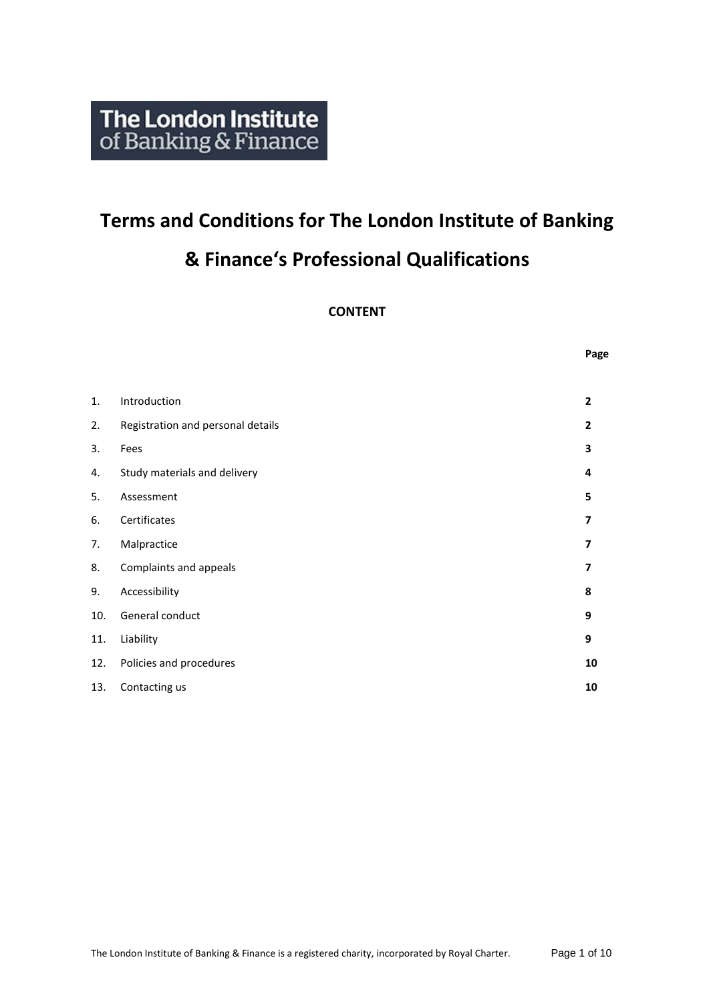# **Terms and Conditions for The London Institute of Banking & Finance's Professional Qualifications**

**CONTENT**

**Page**

| Introduction                      |                          |
|-----------------------------------|--------------------------|
|                                   | $\overline{2}$           |
| Registration and personal details | $\mathbf{2}$             |
| Fees                              | 3                        |
| Study materials and delivery      | 4                        |
| Assessment                        | 5                        |
| Certificates                      | $\overline{\phantom{a}}$ |
| Malpractice                       | $\overline{\mathbf{z}}$  |
| Complaints and appeals            | $\overline{\mathbf{z}}$  |
| Accessibility                     | 8                        |
| General conduct                   | 9                        |
| Liability                         | 9                        |
| Policies and procedures           | 10                       |
| Contacting us                     | 10                       |
|                                   |                          |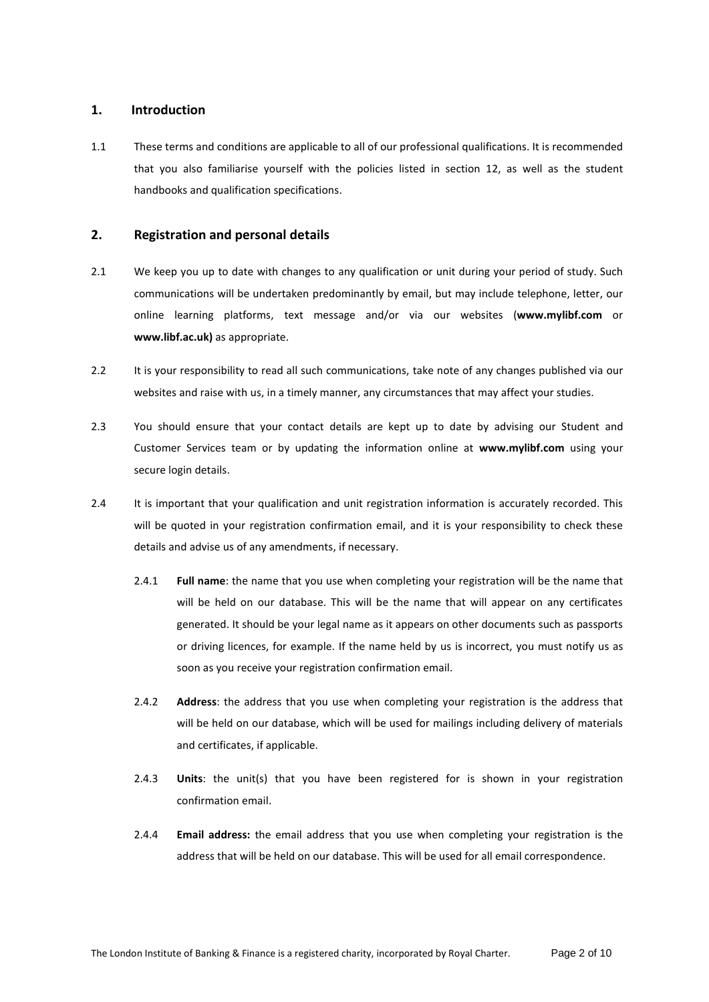## **1. Introduction**

1.1 These terms and conditions are applicable to all of our professional qualifications. It is recommended that you also familiarise yourself with the policies listed in section 12, as well as the student handbooks and qualification specifications.

## **2. Registration and personal details**

- 2.1 We keep you up to date with changes to any qualification or unit during your period of study. Such communications will be undertaken predominantly by email, but may include telephone, letter, our online learning platforms, text message and/or via our websites (**www.mylibf.com** or **www.libf.ac.uk)** as appropriate.
- 2.2 It is your responsibility to read all such communications, take note of any changes published via our websites and raise with us, in a timely manner, any circumstances that may affect your studies.
- 2.3 You should ensure that your contact details are kept up to date by advising our Student and Customer Services team or by updating the information online at **www.mylibf.com** using your secure login details.
- 2.4 It is important that your qualification and unit registration information is accurately recorded. This will be quoted in your registration confirmation email, and it is your responsibility to check these details and advise us of any amendments, if necessary.
	- 2.4.1 **Full name**: the name that you use when completing your registration will be the name that will be held on our database. This will be the name that will appear on any certificates generated. It should be your legal name as it appears on other documents such as passports or driving licences, for example. If the name held by us is incorrect, you must notify us as soon as you receive your registration confirmation email.
	- 2.4.2 **Address**: the address that you use when completing your registration is the address that will be held on our database, which will be used for mailings including delivery of materials and certificates, if applicable.
	- 2.4.3 **Units**: the unit(s) that you have been registered for is shown in your registration confirmation email.
	- 2.4.4 **Email address:** the email address that you use when completing your registration is the address that will be held on our database. This will be used for all email correspondence.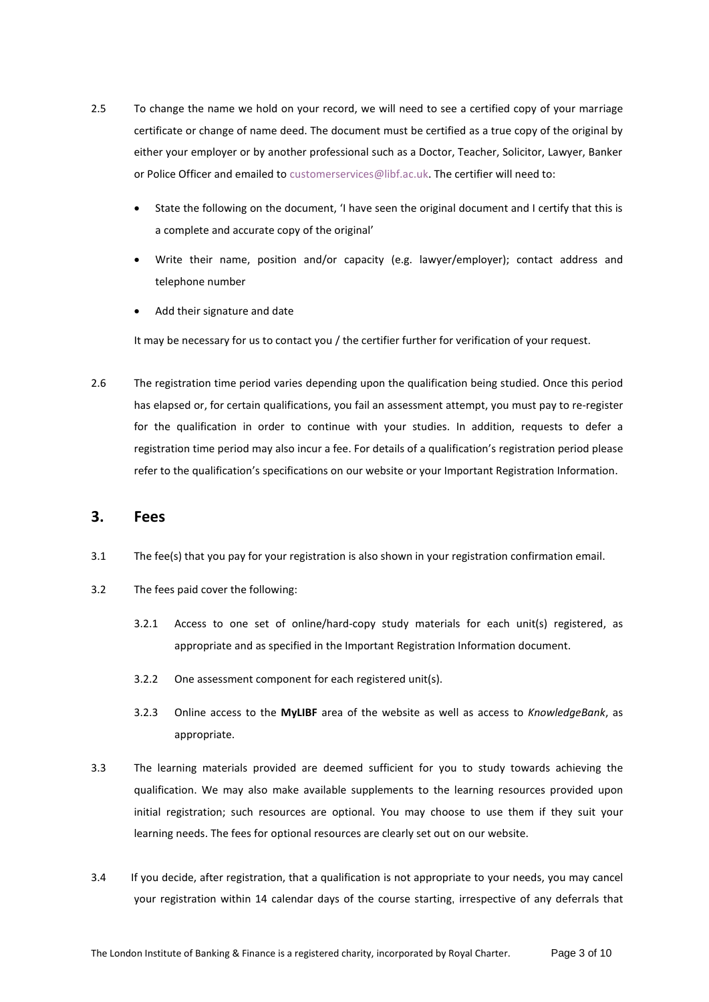- 2.5 To change the name we hold on your record, we will need to see a certified copy of your marriage certificate or change of name deed. The document must be certified as a true copy of the original by either your employer or by another professional such as a Doctor, Teacher, Solicitor, Lawyer, Banker or Police Officer and emailed to [customerservices@libf.ac.uk.](mailto:customerservices@libf.ac.uk) The certifier will need to:
	- State the following on the document, 'I have seen the original document and I certify that this is a complete and accurate copy of the original'
	- Write their name, position and/or capacity (e.g. lawyer/employer); contact address and telephone number
	- Add their signature and date

It may be necessary for us to contact you / the certifier further for verification of your request.

2.6 The registration time period varies depending upon the qualification being studied. Once this period has elapsed or, for certain qualifications, you fail an assessment attempt, you must pay to re-register for the qualification in order to continue with your studies. In addition, requests to defer a registration time period may also incur a fee. For details of a qualification's registration period please refer to the qualification's specifications on our website or your Important Registration Information.

## **3. Fees**

- 3.1 The fee(s) that you pay for your registration is also shown in your registration confirmation email.
- 3.2 The fees paid cover the following:
	- 3.2.1 Access to one set of online/hard-copy study materials for each unit(s) registered, as appropriate and as specified in the Important Registration Information document.
	- 3.2.2 One assessment component for each registered unit(s).
	- 3.2.3 Online access to the **MyLIBF** area of the website as well as access to *KnowledgeBank*, as appropriate.
- 3.3 The learning materials provided are deemed sufficient for you to study towards achieving the qualification. We may also make available supplements to the learning resources provided upon initial registration; such resources are optional. You may choose to use them if they suit your learning needs. The fees for optional resources are clearly set out on our website.
- 3.4 If you decide, after registration, that a qualification is not appropriate to your needs, you may cancel your registration within 14 calendar days of the course starting, irrespective of any deferrals that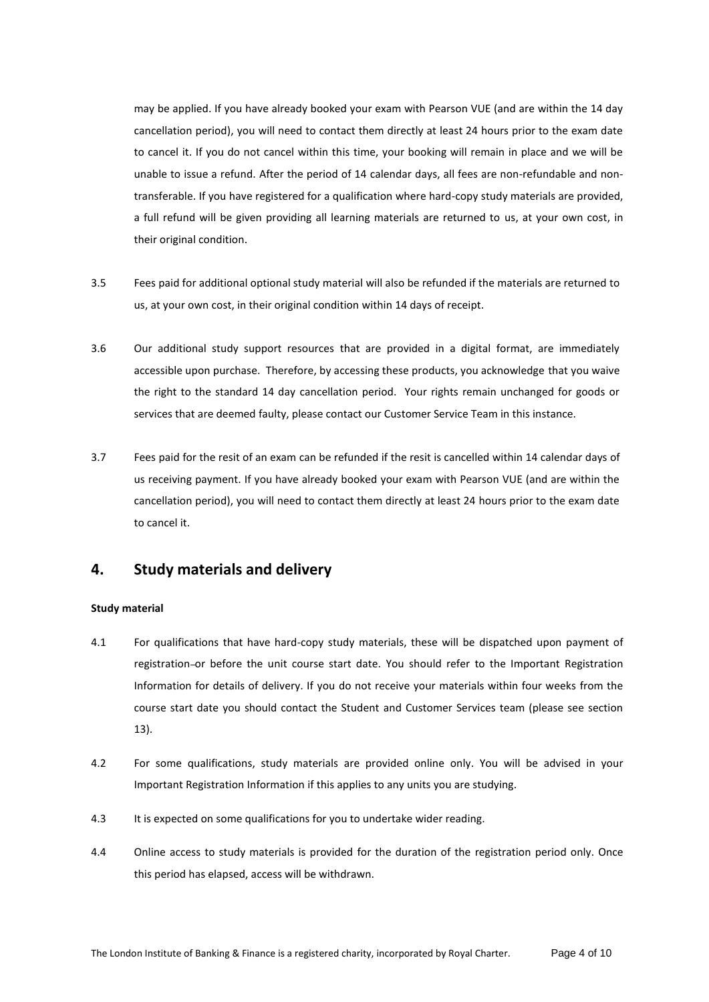may be applied. If you have already booked your exam with Pearson VUE (and are within the 14 day cancellation period), you will need to contact them directly at least 24 hours prior to the exam date to cancel it. If you do not cancel within this time, your booking will remain in place and we will be unable to issue a refund. After the period of 14 calendar days, all fees are non-refundable and nontransferable. If you have registered for a qualification where hard-copy study materials are provided, a full refund will be given providing all learning materials are returned to us, at your own cost, in their original condition.

- 3.5 Fees paid for additional optional study material will also be refunded if the materials are returned to us, at your own cost, in their original condition within 14 days of receipt.
- 3.6 Our additional study support resources that are provided in a digital format, are immediately accessible upon purchase. Therefore, by accessing these products, you acknowledge that you waive the right to the standard 14 day cancellation period. Your rights remain unchanged for goods or services that are deemed faulty, please contact our Customer Service Team in this instance.
- 3.7 Fees paid for the resit of an exam can be refunded if the resit is cancelled within 14 calendar days of us receiving payment. If you have already booked your exam with Pearson VUE (and are within the cancellation period), you will need to contact them directly at least 24 hours prior to the exam date to cancel it.

# **4. Study materials and delivery**

## **Study material**

- 4.1 For qualifications that have hard-copy study materials, these will be dispatched upon payment of registration or before the unit course start date. You should refer to the Important Registration Information for details of delivery. If you do not receive your materials within four weeks from the course start date you should contact the Student and Customer Services team (please see section 13).
- 4.2 For some qualifications, study materials are provided online only. You will be advised in your Important Registration Information if this applies to any units you are studying.
- 4.3 It is expected on some qualifications for you to undertake wider reading.
- 4.4 Online access to study materials is provided for the duration of the registration period only. Once this period has elapsed, access will be withdrawn.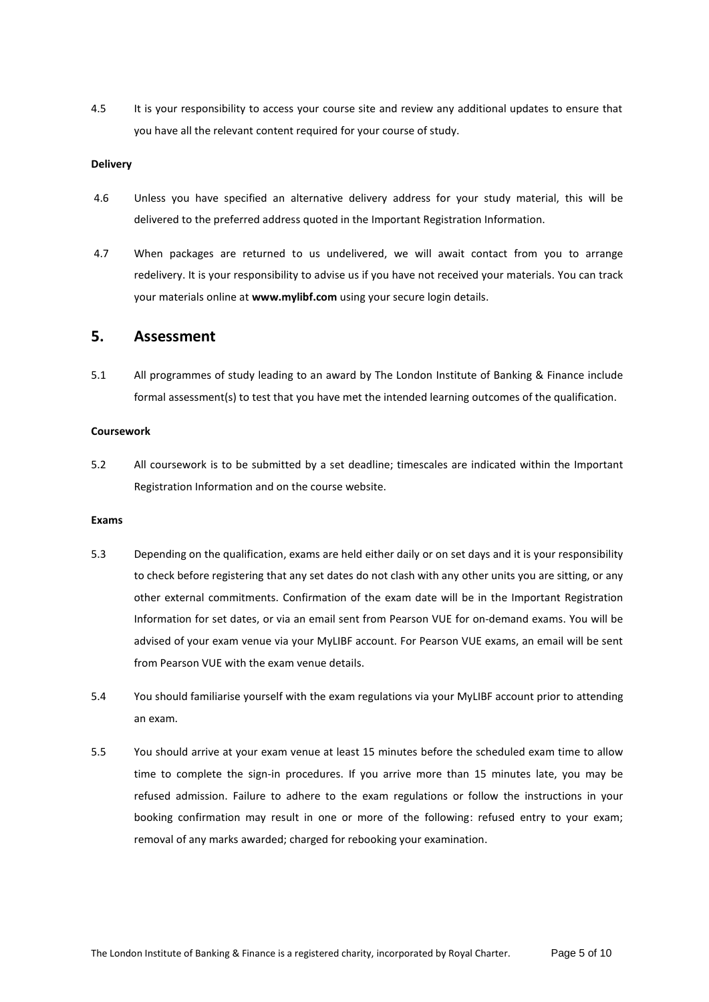4.5 It is your responsibility to access your course site and review any additional updates to ensure that you have all the relevant content required for your course of study.

### **Delivery**

- 4.6 Unless you have specified an alternative delivery address for your study material, this will be delivered to the preferred address quoted in the Important Registration Information.
- 4.7 When packages are returned to us undelivered, we will await contact from you to arrange redelivery. It is your responsibility to advise us if you have not received your materials. You can track your materials online at **www.mylibf.com** using your secure login details.

# **5. Assessment**

5.1 All programmes of study leading to an award by The London Institute of Banking & Finance include formal assessment(s) to test that you have met the intended learning outcomes of the qualification.

#### **Coursework**

5.2 All coursework is to be submitted by a set deadline; timescales are indicated within the Important Registration Information and on the course website.

#### **Exams**

- 5.3 Depending on the qualification, exams are held either daily or on set days and it is your responsibility to check before registering that any set dates do not clash with any other units you are sitting, or any other external commitments. Confirmation of the exam date will be in the Important Registration Information for set dates, or via an email sent from Pearson VUE for on-demand exams. You will be advised of your exam venue via your MyLIBF account. For Pearson VUE exams, an email will be sent from Pearson VUE with the exam venue details
- 5.4 You should familiarise yourself with the exam regulations via your MyLIBF account prior to attending an exam.
- 5.5 You should arrive at your exam venue at least 15 minutes before the scheduled exam time to allow time to complete the sign-in procedures. If you arrive more than 15 minutes late, you may be refused admission. Failure to adhere to the exam regulations or follow the instructions in your booking confirmation may result in one or more of the following: refused entry to your exam; removal of any marks awarded; charged for rebooking your examination.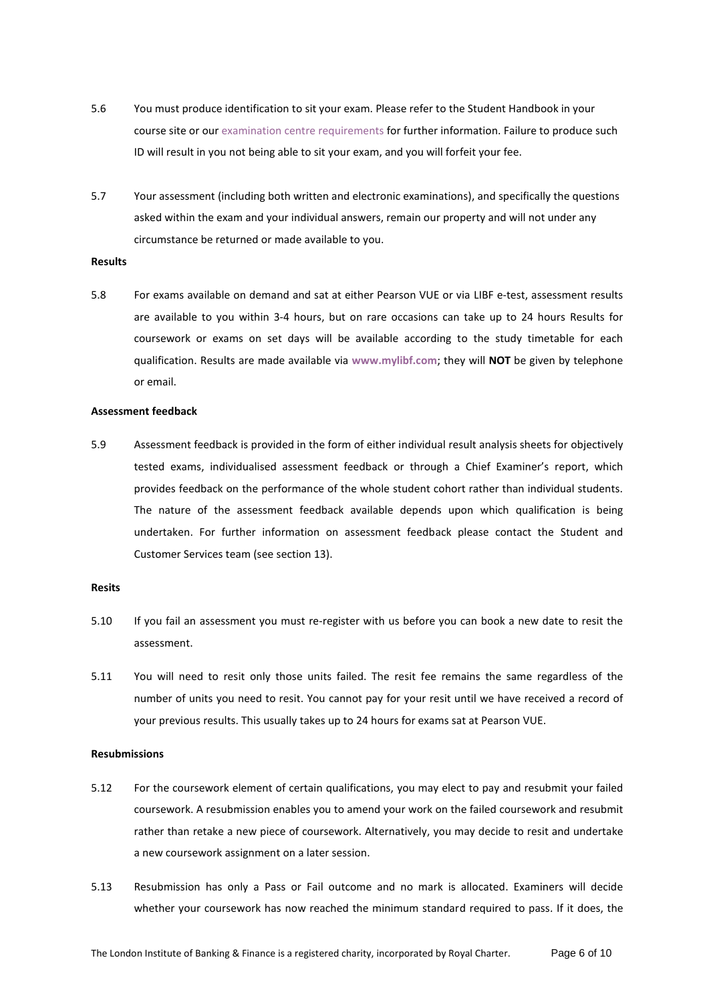- 5.6 You must produce identification to sit your exam. Please refer to the Student Handbook in your course site or our [examination centre requirements](https://www.libf.ac.uk/study/professional-qualifications/exam-and-assessment-information) for further information. Failure to produce such ID will result in you not being able to sit your exam, and you will forfeit your fee.
- 5.7 Your assessment (including both written and electronic examinations), and specifically the questions asked within the exam and your individual answers, remain our property and will not under any circumstance be returned or made available to you.

#### **Results**

5.8 For exams available on demand and sat at either Pearson VUE or via LIBF e-test, assessment results are available to you within 3-4 hours, but on rare occasions can take up to 24 hours Results for coursework or exams on set days will be available according to the study timetable for each qualification. Results are made available via **[www.mylibf.com](http://www.mylibf.com/)**; they will **NOT** be given by telephone or email.

#### **Assessment feedback**

5.9 Assessment feedback is provided in the form of either individual result analysis sheets for objectively tested exams, individualised assessment feedback or through a Chief Examiner's report, which provides feedback on the performance of the whole student cohort rather than individual students. The nature of the assessment feedback available depends upon which qualification is being undertaken. For further information on assessment feedback please contact the Student and Customer Services team (see section 13).

#### **Resits**

- 5.10 If you fail an assessment you must re-register with us before you can book a new date to resit the assessment.
- 5.11 You will need to resit only those units failed. The resit fee remains the same regardless of the number of units you need to resit. You cannot pay for your resit until we have received a record of your previous results. This usually takes up to 24 hours for exams sat at Pearson VUE.

## **Resubmissions**

- 5.12 For the coursework element of certain qualifications, you may elect to pay and resubmit your failed coursework. A resubmission enables you to amend your work on the failed coursework and resubmit rather than retake a new piece of coursework. Alternatively, you may decide to resit and undertake a new coursework assignment on a later session.
- 5.13 Resubmission has only a Pass or Fail outcome and no mark is allocated. Examiners will decide whether your coursework has now reached the minimum standard required to pass. If it does, the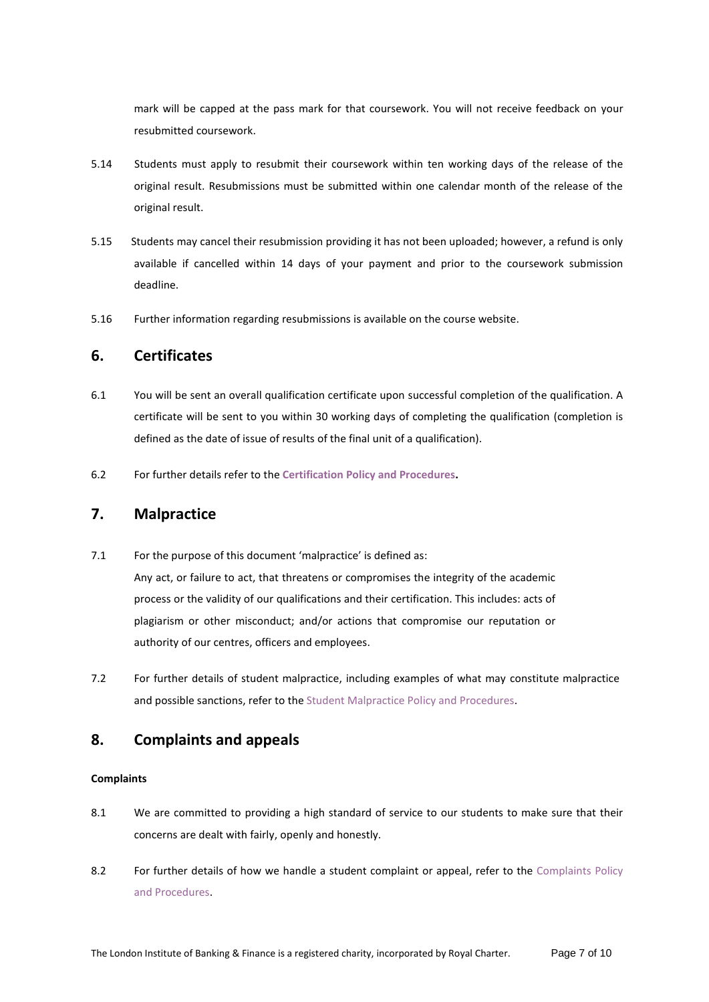mark will be capped at the pass mark for that coursework. You will not receive feedback on your resubmitted coursework.

- 5.14 Students must apply to resubmit their coursework within ten working days of the release of the original result. Resubmissions must be submitted within one calendar month of the release of the original result.
- 5.15 Students may cancel their resubmission providing it has not been uploaded; however, a refund is only available if cancelled within 14 days of your payment and prior to the coursework submission deadline.
- 5.16 Further information regarding resubmissions is available on the course website.

## **6. Certificates**

- 6.1 You will be sent an overall qualification certificate upon successful completion of the qualification. A certificate will be sent to you within 30 working days of completing the qualification (completion is defined as the date of issue of results of the final unit of a qualification).
- 6.2 For further details refer to the **[Certification Policy](https://www.libf.ac.uk/docs/default-source/shared-fc-cpq-policies/fc-cpq-certification-policy.pdf?sfvrsn=9448d_16) and Procedures.**

# **7. Malpractice**

- 7.1 For the purpose of this document 'malpractice' is defined as: Any act, or failure to act, that threatens or compromises the integrity of the academic process or the validity of our qualifications and their certification. This includes: acts of plagiarism or other misconduct; and/or actions that compromise our reputation or authority of our centres, officers and employees.
- 7.2 For further details of student malpractice, including examples of what may constitute malpractice and possible sanctions, refer to th[e Student Malpractice Policy and Procedures.](https://www.libf.ac.uk/docs/default-source/cpq/cpq-policies/cpq-student-malpractice-policy.pdf?sfvrsn=9cc9408d_30)

# **8. Complaints and appeals**

## **Complaints**

- 8.1 We are committed to providing a high standard of service to our students to make sure that their concerns are dealt with fairly, openly and honestly.
- 8.2 For further details of how we handle a student complaint or appeal, refer to the Complaints Policy [and Procedures.](https://www.libf.ac.uk/docs/default-source/cpq/cpq-complaints-policy.pdf?sfvrsn=5403258d_2)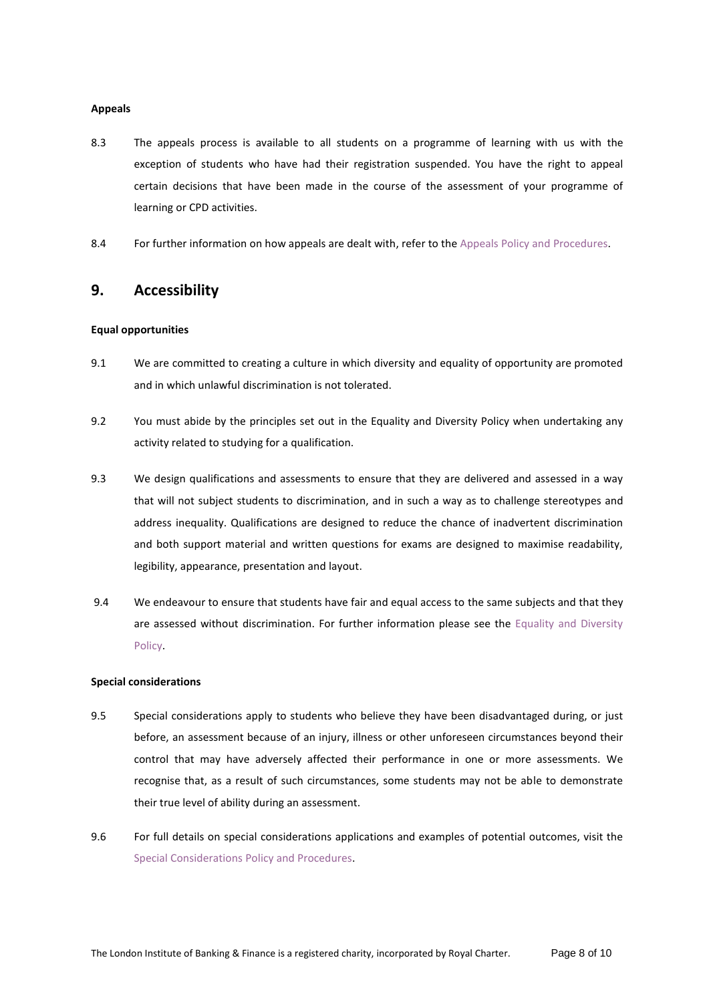#### **Appeals**

- 8.3 The appeals process is available to all students on a programme of learning with us with the exception of students who have had their registration suspended. You have the right to appeal certain decisions that have been made in the course of the assessment of your programme of learning or CPD activities.
- 8.4 For further information on how appeals are dealt with, refer to th[e Appeals Policy and Procedures.](https://www.libf.ac.uk/docs/default-source/cpq/cpq-policies/appeals-policy-and-procedures-march-2021.pdf?sfvrsn=7897248d_2)

# **9. Accessibility**

#### **Equal opportunities**

- 9.1 We are committed to creating a culture in which diversity and equality of opportunity are promoted and in which unlawful discrimination is not tolerated.
- 9.2 You must abide by the principles set out in the Equality and Diversity Policy when undertaking any activity related to studying for a qualification.
- 9.3 We design qualifications and assessments to ensure that they are delivered and assessed in a way that will not subject students to discrimination, and in such a way as to challenge stereotypes and address inequality. Qualifications are designed to reduce the chance of inadvertent discrimination and both support material and written questions for exams are designed to maximise readability, legibility, appearance, presentation and layout.
- 9.4 We endeavour to ensure that students have fair and equal access to the same subjects and that they are assessed without discrimination. For further information please see the [Equality and Diversity](https://www.libf.ac.uk/docs/default-source/About-us-docs/equality-and-diversity-policy.pdf?sfvrsn=db34408d_12)  [Policy.](https://www.libf.ac.uk/docs/default-source/About-us-docs/equality-and-diversity-policy.pdf?sfvrsn=db34408d_12)

## **Special considerations**

- 9.5 Special considerations apply to students who believe they have been disadvantaged during, or just before, an assessment because of an injury, illness or other unforeseen circumstances beyond their control that may have adversely affected their performance in one or more assessments. We recognise that, as a result of such circumstances, some students may not be able to demonstrate their true level of ability during an assessment.
- 9.6 For full details on special considerations applications and examples of potential outcomes, visit the [Special Considerations Policy and Procedures.](https://www.libf.ac.uk/docs/default-source/cpq/cpq-policies/pe-spec-con-policy-(3).pdf?sfvrsn=2fb3268d_2)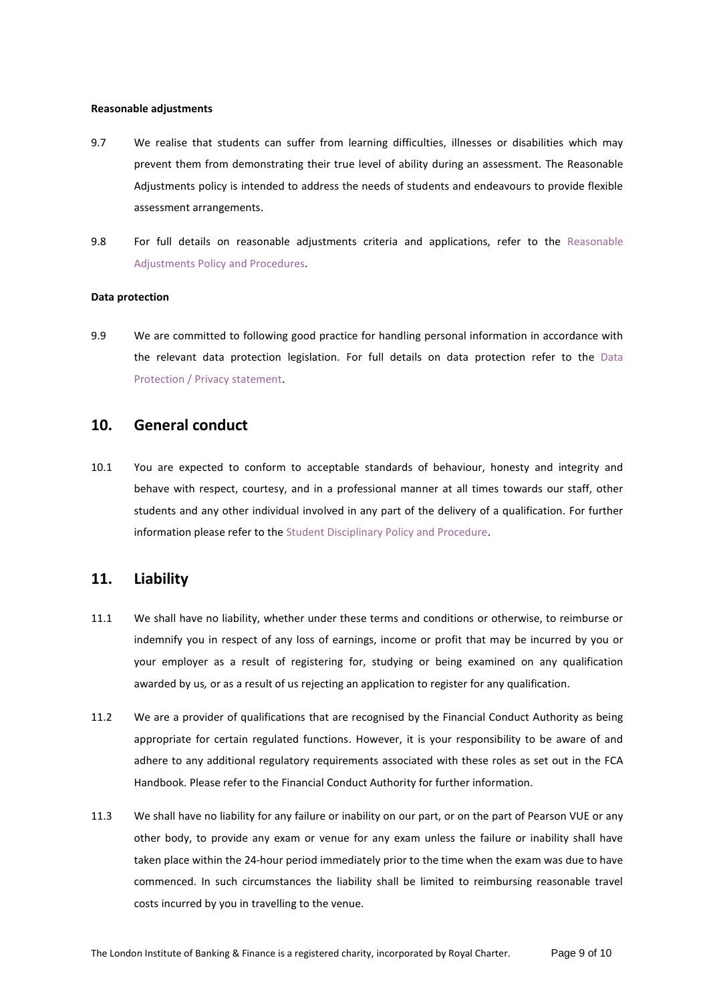#### **Reasonable adjustments**

- 9.7 We realise that students can suffer from learning difficulties, illnesses or disabilities which may prevent them from demonstrating their true level of ability during an assessment. The Reasonable Adjustments policy is intended to address the needs of students and endeavours to provide flexible assessment arrangements.
- 9.8 For full details on reasonable adjustments criteria and applications, refer to the [Reasonable](https://www.libf.ac.uk/docs/default-source/cpq/cpq-policies/pe-reasonable-adjustment-policy.pdf?sfvrsn=32fc248d_2)  [Adjustments Policy and Procedures.](https://www.libf.ac.uk/docs/default-source/cpq/cpq-policies/pe-reasonable-adjustment-policy.pdf?sfvrsn=32fc248d_2)

#### **Data protection**

9.9 We are committed to following good practice for handling personal information in accordance with the relevant data protection legislation. For full details on data protection refer to the [Data](https://www.libf.ac.uk/about-us/data-protection-privacy-cookie-policy)  [Protection / Privacy statement.](https://www.libf.ac.uk/about-us/data-protection-privacy-cookie-policy)

# **10. General conduct**

10.1 You are expected to conform to acceptable standards of behaviour, honesty and integrity and behave with respect, courtesy, and in a professional manner at all times towards our staff, other students and any other individual involved in any part of the delivery of a qualification. For further information please refer to the [Student Disciplinary Policy and Procedure.](https://www.libf.ac.uk/docs/default-source/cpq/cpq-policies/student-disciplinary-policy.pdf?sfvrsn=2)

## **11. Liability**

- 11.1 We shall have no liability, whether under these terms and conditions or otherwise, to reimburse or indemnify you in respect of any loss of earnings, income or profit that may be incurred by you or your employer as a result of registering for, studying or being examined on any qualification awarded by us*,* or as a result of us rejecting an application to register for any qualification.
- 11.2 We are a provider of qualifications that are recognised by the Financial Conduct Authority as being appropriate for certain regulated functions. However, it is your responsibility to be aware of and adhere to any additional regulatory requirements associated with these roles as set out in the FCA Handbook. Please refer to the Financial Conduct Authority for further information.
- 11.3 We shall have no liability for any failure or inability on our part, or on the part of Pearson VUE or any other body, to provide any exam or venue for any exam unless the failure or inability shall have taken place within the 24-hour period immediately prior to the time when the exam was due to have commenced. In such circumstances the liability shall be limited to reimbursing reasonable travel costs incurred by you in travelling to the venue.